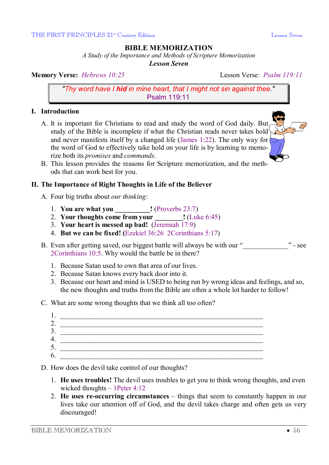# **BIBLE MEMORIZATION**

*A Study of the Importance and Methods of Scripture Memorization* 

*Lesson Seven* 

**Memory Verse:** *Hebrews* 10:25 Lesson Verse: *Psalm 119:11* 

*"Thy word have I hid in mine heart, that I might not sin against thee."* Psalm 119:11

#### **I. Introduction**

- A. It is important for Christians to read and study the word of God daily. But study of the Bible is incomplete if what the Christian reads never takes hold and never manifests itself by a changed life (James 1:22). The only way for  $\triangleright$ the word of God to effectively take hold on your life is by learning to memorize both its *promises* and *commands*.
- B. This lesson provides the reasons for Scripture memorization, and the methods that can work best for you.

## **II. The Importance of Right Thoughts in Life of the Believer**

- A. Four big truths about *our thinking*:
	- 1. **You are what you \_\_\_\_\_\_\_\_\_\_!** (Proverbs 23:7)
	- 2. **Your thoughts come from your \_\_\_\_\_\_\_\_!** (Luke 6:45)
	- 3. **Your heart is messed up bad!** (Jeremiah 17:9)
	- 4. **But we can be fixed! (**Ezekiel 36:26 2Corinthians 5:17)
- B. Even after getting saved, our biggest battle will always be with our " 2Corinthians 10:5. Why would the battle be in there?
	- 1. Because Satan used to own that area of our lives.
	- 2. Because Satan knows every back door into it.
	- 3. Because our heart and mind is USED to being run by wrong ideas and feelings, and so, the new thoughts and truths from the Bible are often a whole lot harder to follow!
- C. What are some wrong thoughts that we think all too often?



- D. How does the devil take control of our thoughts?
	- 1. **He uses troubles!** The devil uses troubles to get you to think wrong thoughts, and even wicked thoughts – 1Peter 4:12
	- 2. **He uses re-occurring circumstances** things that seem to constantly happen in our lives take our attention off of God, and the devil takes charge and often gets us very discouraged!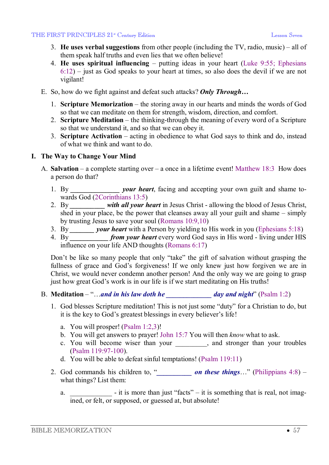#### THE FIRST PRINCIPLES 21<sup>\*</sup> Century Edition **Leap Account Contains Containing Containing Containing Lesson Seven**

- 3. **He uses verbal suggestions** from other people (including the TV, radio, music) all of them speak half truths and even lies that we often believe!
- 4. **He uses spiritual influencing** putting ideas in your heart (Luke 9:55; Ephesians 6:12) – just as God speaks to your heart at times, so also does the devil if we are not vigilant!
- E. So, how do we fight against and defeat such attacks? *Only Through…*
	- 1. **Scripture Memorization** the storing away in our hearts and minds the words of God so that we can meditate on them for strength, wisdom, direction, and comfort.
	- 2. **Scripture Meditation** the thinking-through the meaning of every word of a Scripture so that we understand it, and so that we can obey it.
	- 3. **Scripture Activation** acting in obedience to what God says to think and do, instead of what we think and want to do.

## **I. The Way to Change Your Mind**

- A. **Salvation** a complete starting over a once in a lifetime event! Matthew 18:3 How does a person do that?
	- 1. By *\_\_\_\_\_\_\_\_\_\_\_\_\_\_ your heart*, facing and accepting your own guilt and shame towards God (2Corinthians 13:5)
	- 2. By *\_\_\_\_\_\_\_\_\_\_ with all your heart* in Jesus Christ allowing the blood of Jesus Christ, shed in your place, be the power that cleanses away all your guilt and shame – simply by trusting Jesus to save your soul (Romans 10:9,10)
	- 3. By *\_\_\_\_\_\_\_ your heart* with a Person by yielding to His work in you (Ephesians 5:18)
	- 4. By *\_\_\_\_\_\_\_\_\_\_\_ from your heart* every word God says in His word living under HIS influence on your life AND thoughts (Romans 6:17)

Don't be like so many people that only "take" the gift of salvation without grasping the fullness of grace and God's forgiveness! If we only knew just how forgiven we are in Christ, we would never condemn another person! And the only way we are going to grasp just how great God's work is in our life is if we start meditating on His truths!

- B. **Meditation** "…*and in his law doth he day and night*" (Psalm 1:2)
	- 1. God blesses Scripture meditation! This is not just some "duty" for a Christian to do, but it is the key to God's greatest blessings in every believer's life!
		- a. You will prosper! (Psalm 1:2,3)!
		- b. You will get answers to prayer! John 15:7 You will then *know* what to ask.
		- c. You will become wiser than your  $\Box$ , and stronger than your troubles (Psalm 119:97-100).
		- d. You will be able to defeat sinful temptations! (Psalm 119:11)
	- 2. God commands his children to, "*\_\_\_\_\_\_\_\_\_\_ on these things*…" (Philippians 4:8) what things? List them:
		- a.  $\blacksquare$  it is more than just "facts" it is something that is real, not imagined, or felt, or supposed, or guessed at, but absolute!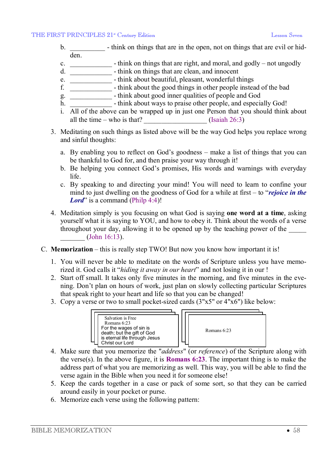- b.  $\blacksquare$  think on things that are in the open, not on things that are evil or hidden.
- c. \_\_\_\_\_\_\_\_\_\_\_\_ think on things that are right, and moral, and godly not ungodly
- d. \_\_\_\_\_\_\_\_\_\_\_\_ think on things that are clean, and innocent
- e. \_\_\_\_\_\_\_\_\_\_\_\_ think about beautiful, pleasant, wonderful things
- f. \_\_\_\_\_\_\_\_\_\_\_\_ think about the good things in other people instead of the bad
- g. \_\_\_\_\_\_\_\_\_\_\_\_ think about good inner qualities of people and God
- h. **Example 1** think about ways to praise other people, and especially God!
- i. All of the above can be wrapped up in just one Person that you should think about all the time – who is that?  $\qquad \qquad$  (Isaiah 26:3)
- 3. Meditating on such things as listed above will be the way God helps you replace wrong and sinful thoughts:
	- a. By enabling you to reflect on God's goodness make a list of things that you can be thankful to God for, and then praise your way through it!
	- b. Be helping you connect God's promises, His words and warnings with everyday life.
	- c. By speaking to and directing your mind! You will need to learn to confine your mind to just dwelling on the goodness of God for a while at first – to "*rejoice in the Lord*" is a command (Philp 4:4)!
- 4. Meditation simply is you focusing on what God is saying **one word at a time**, asking yourself what it is saying to YOU, and how to obey it. Think about the words of a verse throughout your day, allowing it to be opened up by the teaching power of the \_\_\_\_\_  $(John 16:13).$
- C. **Memorization** this is really step TWO! But now you know how important it is!
	- 1. You will never be able to meditate on the words of Scripture unless you have memorized it. God calls it "*hiding it away in our heart*" and not losing it in our !
	- 2. Start off small. It takes only five minutes in the morning, and five minutes in the evening. Don't plan on hours of work, just plan on slowly collecting particular Scriptures that speak right to your heart and life so that you can be changed!
	- 3. Copy a verse or two to small pocket-sized cards (3"x5" or 4"x6") like below:



- 4. Make sure that you memorize the "*address*" (or *reference*) of the Scripture along with the verse(s). In the above figure, it is **Romans 6:23**. The important thing is to make the address part of what you are memorizing as well. This way, you will be able to find the verse again in the Bible when you need it for someone else!
- 5. Keep the cards together in a case or pack of some sort, so that they can be carried around easily in your pocket or purse.
- 6. Memorize each verse using the following pattern: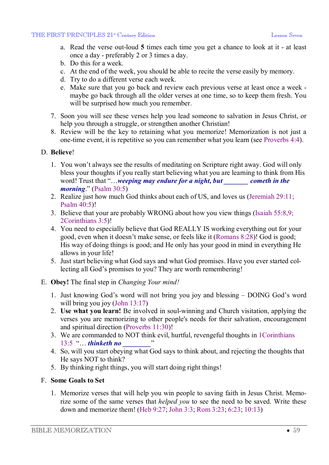- a. Read the verse out-loud **5** times each time you get a chance to look at it at least once a day - preferably 2 or 3 times a day.
- b. Do this for a week.
- c. At the end of the week, you should be able to recite the verse easily by memory.
- d. Try to do a different verse each week.
- e. Make sure that you go back and review each previous verse at least once a week maybe go back through all the older verses at one time, so to keep them fresh. You will be surprised how much you remember.
- 7. Soon you will see these verses help you lead someone to salvation in Jesus Christ, or help you through a struggle, or strengthen another Christian!
- 8. Review will be the key to retaining what you memorize! Memorization is not just a one-time event, it is repetitive so you can remember what you learn (see Proverbs 4:4).

#### D. **Believe**!

- 1. You won't always see the results of meditating on Scripture right away. God will only bless your thoughts if you really start believing what you are learning to think from His word! Trust that "…*weeping may endure for a night, but \_\_\_\_\_\_\_ cometh in the morning*." (Psalm 30:5)
- 2. Realize just how much God thinks about each of US, and loves us (Jeremiah 29:11; Psalm 40:5)!
- 3. Believe that your are probably WRONG about how you view things (Isaiah 55:8,9; 2Corinthians 3:5)!
- 4. You need to especially believe that God REALLY IS working everything out for your good, even when it doesn't make sense, or feels like it (Romans 8:28)! God is good; His way of doing things is good; and He only has your good in mind in everything He allows in your life!
- 5. Just start believing what God says and what God promises. Have you ever started collecting all God's promises to you? They are worth remembering!

## E. **Obey!** The final step in *Changing Your mind!*

- 1. Just knowing God's word will not bring you joy and blessing DOING God's word will bring you joy (John 13:17)
- 2. **Use what you learn!** Be involved in soul-winning and Church visitation, applying the verses you are memorizing to other people's needs for their salvation, encouragement and spiritual direction (Proverbs 11:30)!
- 3. We are commanded to NOT think evil, hurtful, revengeful thoughts in 1Corinthians 13:5 "… *thinketh no \_\_\_\_\_\_\_\_*"
- 4. So, will you start obeying what God says to think about, and rejecting the thoughts that He says NOT to think?
- 5. By thinking right things, you will start doing right things!

## F. **Some Goals to Set**

1. Memorize verses that will help you win people to saving faith in Jesus Christ. Memorize some of the same verses that *helped you* to see the need to be saved. Write these down and memorize them! (Heb 9:27; John 3:3; Rom 3:23; 6:23; 10:13)